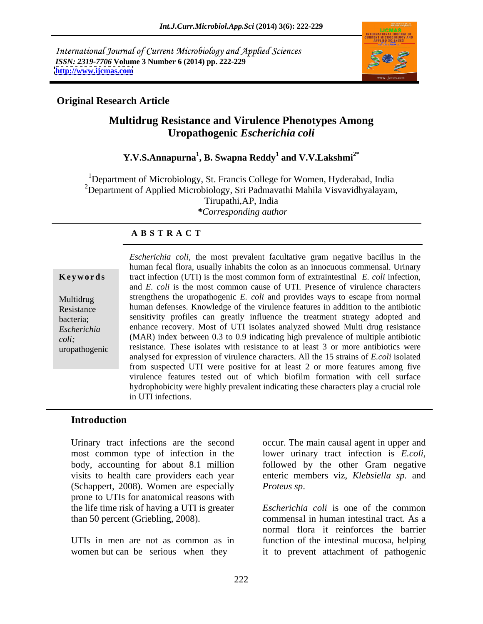International Journal of Current Microbiology and Applied Sciences *ISSN: 2319-7706* **Volume 3 Number 6 (2014) pp. 222-229 <http://www.ijcmas.com>**



## **Original Research Article**

# **Multidrug Resistance and Virulence Phenotypes Among Uropathogenic** *Escherichia coli*

### **Y.V.S.Annapurna<sup>1</sup> , B. Swapna Reddy<sup>1</sup> and V.V.Lakshmi2\***

<sup>1</sup>Department of Microbiology, St. Francis College for Women, Hyderabad, India <sup>2</sup>Department of Applied Microbiology, Sri Padmavathi Mahila Visvavidhyalayam, Tirupathi,AP, India *\*Corresponding author* 

### **A B S T R A C T**

Escherichia coli, the most prevalent facultative gram negative bacillus in the **Ke ywo rds** tract infection (UTI) is the most common form of extraintestinal *E. coli* infection, Multidrug strengthens the uropathogenic *E. coli* and provides ways to escape from normal Resistance human defenses. Knowledge of the virulence features in addition to the antibiotic bacteria; sensitivity profiles can greatly influence the treatment strategy adopted and *Escherichia*  enhance recovery. Most of UTI isolates analyzed showed Multi drug resistance *coli*; (MAR) index between 0.3 to 0.9 indicating high prevalence of multiple antibiotic uropathogenic resistance. These isolates with resistance to at least 3 or more antibiotics were human fecal flora, usually inhabits the colon as an innocuous commensal. Urinary and *E. coli* is the most common cause of UTI. Presence of virulence characters analysed for expression of virulence characters. All the 15 strains of *E.coli* isolated from suspected UTI were positive for at least 2 or more features among five virulence features tested out of which biofilm formation with cell surface hydrophobicity were highly prevalent indicating these characters play a crucial role in UTI infections.

### **Introduction**

most common type of infection in the lower urinary tract infection is *E.coli*, body, accounting for about 8.1 million followed by the other Gram negative (Schappert, 2008). Women are especially *Proteus sp.* prone to UTIs for anatomical reasons with the life time risk of having a UTI is greater

Urinary tract infections are the second occur. The main causal agent in upper and visits to health care providers each year enteric members viz, *Klebsiella sp.* and lower urinary tract infection is *E.coli*, followed by the other Gram negative *Proteus sp*.

than 50 percent (Griebling, 2008). commensal in human intestinal tract. As a UTIs in men are not as common as in function of the intestinal mucosa, helping women but can be serious when they it to prevent attachment of pathogenic *Escherichia coli* is one of the common normal flora it reinforces the barrier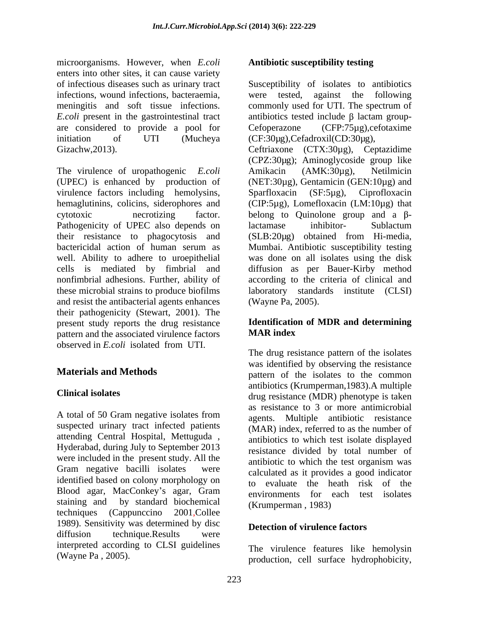microorganisms. However, when *E.coli*  enters into other sites, it can cause variety infections, wound infections, bacteraemia, were tested, against the following are considered to provide a pool for Cefoperazone (CFP:75µg), cefotaxime

The virulence of uropathogenic *E.coli* Amikacin (AMK:30 $\mu$ g), Netilmicin virulence factors including hemolysins, Sparfloxacin (SF:5µg), Ciprofloxacin Pathogenicity of UPEC also depends on lactamase inhibitor- Sublactum and resist the antibacterial agents enhances their pathogenicity (Stewart, 2001). The present study reports the drug resistance **Identificatio**<br> **Example 18 and the associated virulence factors MAR index** pattern and the associated virulence factors observed in *E.coli* isolated from UTI.

A total of 50 Gram negative isolates from suspected urinary tract infected patients attending Central Hospital, Mettuguda , Hyderabad, during July to September 2013 were included in the present study. All the identified based on colony morphology on Blood agar, MacConkey's agar, Gram techniques (Cappunccino 2001,Collee 1989). Sensitivity was determined by disc diffusion technique.Results were interpreted according to CLSI guidelines

### **Antibiotic susceptibility testing**

of infectious diseases such as urinary tract Susceptibility of isolates to antibiotics meningitis and soft tissue infections.  $E. coli$  present in the gastrointestinal tract antibiotics tested include  $\beta$  lactam groupinitiation of UTI (Mucheya (CF:30µg),Cefadroxil(CD:30µg), Gizachw,2013). Ceftriaxone (CTX:30µg), Ceptazidime (UPEC) is enhanced by production of (NET:30µg), Gentamicin (GEN:10µg) and hemaglutinins, colicins, siderophores and (CIP:5µg), Lomefloxacin (LM:10µg) that cytotoxic contracting factor. belong to Quinolone group and a  $\beta$ their resistance to phagocytosis and (SLB:20µg) obtained from Hi-media, bactericidal action of human serum as Mumbai. Antibiotic susceptibility testing well. Ability to adhere to uroepithelial was done on all isolates using the disk cells is mediated by fimbrial and diffusion as per Bauer-Kirby method nonfimbrial adhesions. Further, ability of according to the criteria of clinical and these microbial strains to produce biofilms laboratory standards institute (CLSI) were tested, against the following commonly used for UTI. The spectrum of antibiotics tested include  $\beta$  lactam group-Cefoperazone (CFP:75µg),cefotaxime (CPZ:30µg); Aminoglycoside group like Amikacin (AMK:30µg), Netilmicin Sparfloxacin (SF:5µg), Ciprofloxacin lactamase inhibitor- Sublactum (Wayne Pa, 2005).

### **Identification of MDR and determining MAR index**

**Materials and Methods** pattern of the isolates to the common **Clinical isolates** drug resistance (MDR) phenotype is taken Gram negative bacilli isolates were calculated as it provides a good indicator staining and by standard biochemical  $(K_{\text{rumnerman}} - 1983)$ The drug resistance pattern of the isolates was identified by observing the resistance antibiotics (Krumperman,1983).A multiple as resistance to 3 or more antimicrobial agents. Multiple antibiotic resistance (MAR) index, referred to as the number of antibiotics to which test isolate displayed resistance divided by total number of antibiotic to which the test organism was calculated as it provides a good indicator to evaluate the heath risk of the environments for each test isolates (Krumperman , 1983)

### **Detection of virulence factors**

(Wayne Pa , 2005). production, cell surface hydrophobicity, The virulence features like hemolysin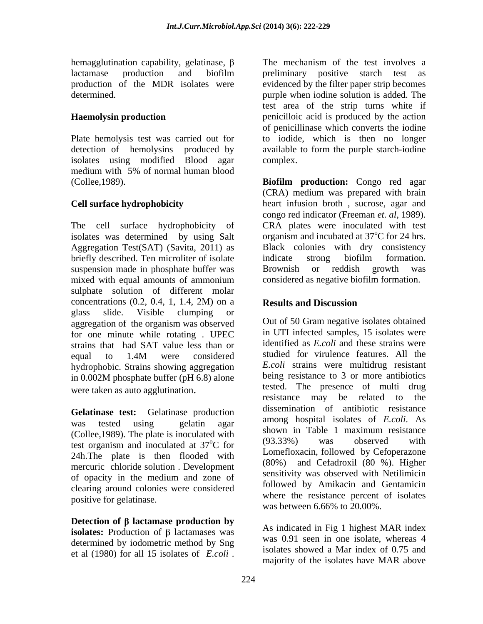hemagglutination capability, gelatinase,  $\beta$  The mechanism of the test involves a

isolates using modified Blood agar complex. medium with 5% of normal human blood (Collee,1989).

isolates was determined by using Salt briefly described. Ten microliter of isolate indicate strong biofilm formation. suspension made in phosphate buffer was Brownish or reddish growth was sulphate solution of different molar concentrations  $(0.2, 0.4, 1, 1.4, 2M)$  on a **Results and Discussion** glass slide. Visible clumping or aggregation of the organism was observed for one minute while rotating . UPEC strains that had SAT value less than or equal to 1.4M were considered studied for virulence features. All the hydrophobic. Strains showing aggregation in 0.002M phosphate buffer (pH 6.8) alone

(Collee, 1989). The plate is inoculated with<br>  $(93.33\%)$  was observed with<br>  $(93.33\%)$  was observed with test organism and inoculated at 37<sup>o</sup>C for 24h.The plate is then flooded with mercuric chloride solution . Development clearing around colonies were considered positive for gelatinase.

**Detection of lactamase production by isolates:** Production of  $\beta$  lactamases was determined by iodometric method by Sng

lactamase production and biofilm preliminary positive starch test as production of the MDR isolates were evidenced by the filter paper strip becomes determined. purple when iodine solution is added. The **Haemolysin production penicilloic** acid is produced by the action Plate hemolysis test was carried out for to iodide, which is then no longer detection of hemolysins produced by available to form the purple starch-iodine preliminary positive starch test as test area of the strip turns white if of penicillinase which converts the iodine complex.

**Cell surface hydrophobicity** heart infusion broth , sucrose, agar and The cell surface hydrophobicity of CRA plates were inoculated with test Aggregation Test(SAT) (Savita, 2011) as Black colonies with dry consistency mixed with equal amounts of ammonium considered as negative biofilm formation. **Biofilm production:** Congo red agar (CRA) medium was prepared with brain congo red indicator (Freeman *et. al*, 1989). organism and incubated at  $37^{\circ}$ C for 24 hrs. indicate strong biofilm formation. Brownish or reddish growth was

# **Results and Discussion**

were taken as auto agglutination.<br>The stead is the presence of multi-drug resistance may be related to the **Gelatinase test:** Gelatinase production was tested using gelatin agar  $\frac{1}{2}$  allows no spital isolates of *E.Cott.* As  ${}^{\circ}C$  for  $(93.33\%)$  was observed with of opacity in the medium and zone of sensitivity was observed with Nethiningheralgonization completion of the test involves a model of the mechanism of the best involves of  $\alpha$  and  $\alpha$  of  $\alpha$  and  $\alpha$  of  $\alpha$  and  $\alpha$  of  $\alpha$  and  $\alpha$  of  $\alpha$  and  $\alpha$  of  $\alpha$  and  $\alpha$  and  $\alpha$  and  $\alpha$  and  $\alpha$ Out of 50 Gram negative isolates obtained in UTI infected samples, 15 isolates were identified as *E.coli* and these strains were studied for virulence features. All the *E.coli* strains were multidrug resistant being resistance to 3 or more antibiotics tested. The presence of multi drug resistance may be related to dissemination of antibiotic resistance among hospital isolates of *E.coli*. As shown in Table 1 maximum resistance (93.33%) was observed with Lomefloxacin, followed by Cefoperazone (80%) and Cefadroxil (80 %). Higher sensitivity was observed with Netilimicin followed by Amikacin and Gentamicin where the resistance percent of isolates was between 6.66% to 20.00%.

As indicated in Fig 1 highest MAR index was 0.91 seen in one isolate, whereas 4 isolates showed a Mar index of 0.75 and majority of the isolates have MAR above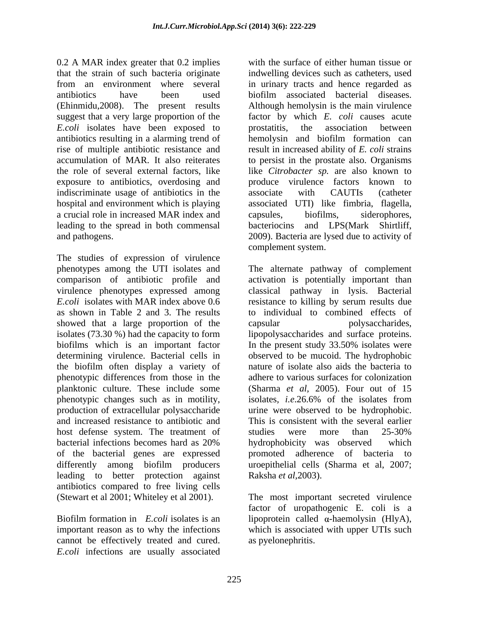0.2 A MAR index greater that 0.2 implies that the strain of such bacteria originate from an environment where several in urinary tracts and hence regarded as antibiotics have been used biofilm associated bacterial diseases. (Ehinmidu,2008). The present results suggest that a very large proportion of the *E.coli* isolates have been exposed to prostatitis, the association between antibiotics resulting in a alarming trend of rise of multiple antibiotic resistance and accumulation of MAR. It also reiterates to persist in the prostate also. Organisms the role of several external factors, like like *Citrobacter sp.* are also known to exposure to antibiotics, overdosing and indiscriminate usage of antibiotics in the associate with CAUTIs (catheter hospital and environment which is playing associated UTI) like fimbria, flagella, a crucial role in increased MAR index and capsules, biofilms, siderophores, leading to the spread in both commensal bacteriocins and LPS(Mark Shirtliff, and pathogens. 2009). Bacteria are lysed due to activity of

The studies of expression of virulence phenotypes among the UTI isolates and The alternate pathway of complement comparison of antibiotic profile and activation is potentially important than virulence phenotypes expressed among classical pathway in lysis. Bacterial *E.coli* isolates with MAR index above 0.6 resistance to killing by serum results due as shown in Table 2 and 3. The results to individual to combined effects of showed that a large proportion of the capsular bolysaccharides, isolates (73.30 %) had the capacity to form lipopolysaccharides and surface proteins. biofilms which is an important factor In the present study 33.50% isolates were determining virulence. Bacterial cells in observed to be mucoid. The hydrophobic the biofilm often display a variety of phenotypic differences from those in the planktonic culture. These include some phenotypic changes such as in motility, isolates, *i.e.*26.6% of the isolates from production of extracellular polysaccharide urine were observed to be hydrophobic. and increased resistance to antibiotic and This is consistent with the several earlier host defense system. The treatment of studies were more than 25-30% bacterial infections becomes hard as 20% of the bacterial genes are expressed bromoted adherence of bacteria to differently among biofilm producers uroepithelial cells (Sharma et al, 2007; leading to better protection against Raksha *et al*, 2003). antibiotics compared to free living cells (Stewart et al 2001; Whiteley et al 2001). The most important secreted virulence

important reason as to why the infections cannot be effectively treated and cured. *E.coli* infections are usually associated with the surface of either human tissue or indwelling devices such as catheters, used Although hemolysin is the main virulence factor by which *E. coli* causes acute prostatitis, the association between hemolysin and biofilm formation can result in increased ability of *E. coli* strains produce virulence factors known to associate with CAUTIs (catheter capsules, biofilms, siderophores, bacteriocins and LPS(Mark Shirtliff, 2009). Bacteria are lysed due to activity of complement system.

resistance to killing by serum results due capsular polysaccharides, In the present study 33.50% isolates were nature of isolate also aids the bacteria to adhere to various surfaces for colonization (Sharma *et al,* 2005). Four out of 15 isolates*, i.e*.26.6% of the isolates from studies were more than 25-30% hydrophobicity was observed which

Biofilm formation in  $E. coli$  isolates is an lipoprotein called  $\alpha$ -haemolysin (HlyA), Raksha *et al*, 2003).<br>The most important secreted virulence factor of uropathogenic E. coli is a which is associated with upper UTIs such as pyelonephritis.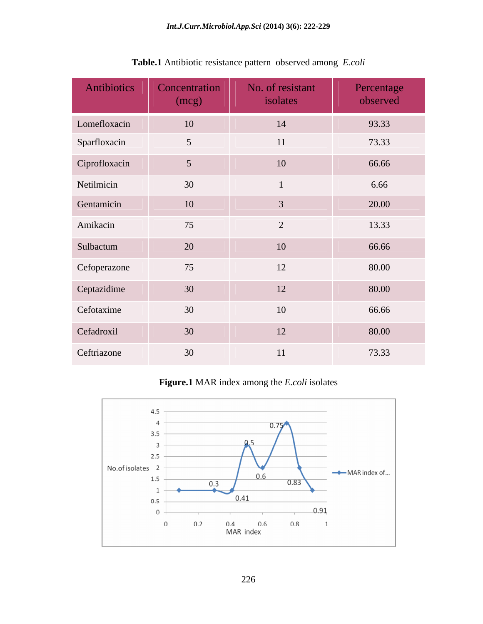| Antibiotics   | Concentration<br>(mcg) | No. of resistant<br>isolates | Percentage<br>observed |
|---------------|------------------------|------------------------------|------------------------|
| Lomefloxacin  | 10                     | 14                           | 93.33                  |
| Sparfloxacin  | $5\overline{)}$        | 11                           | 73.33                  |
| Ciprofloxacin | $5\overline{)}$        | 10                           | 66.66                  |
| Netilmicin    | 30                     |                              | 6.66                   |
| Gentamicin    | 10                     | $\mathfrak{Z}$               | 20.00                  |
| Amikacin      | 75                     | 2                            | 13.33                  |
| Sulbactum     | 20                     | 10                           | 66.66                  |
| Cefoperazone  | 75                     | 12                           | 80.00                  |
| Ceptazidime   | 30                     | 12                           | 80.00                  |
| Cefotaxime    | 30                     | 10                           | 66.66                  |
| Cefadroxil    | 30                     | 12                           | 80.00                  |
| Ceftriazone   | 30                     | 11                           | 73.33                  |

**Table.1** Antibiotic resistance pattern observed among *E.coli*

**Figure.1** MAR index among the *E.coli* isolates

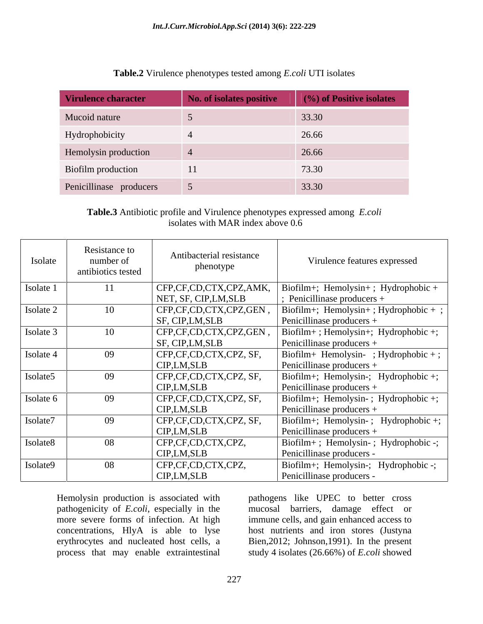| Virulence character     | No. of isolates positive | $(%)$ of Positive isolates |
|-------------------------|--------------------------|----------------------------|
| Mucoid nature           |                          | 33.30                      |
| Hydrophobicity          |                          | 26.66                      |
| Hemolysin production    |                          | 26.66                      |
| Biofilm production      | 11                       | 73.30                      |
| Penicillinase producers |                          | 33.30                      |

**Table.2** Virulence phenotypes tested among *E.coli* UTI isolates

**Table.3** Antibiotic profile and Virulence phenotypes expressed among *E.coli* isolates with MAR index above 0.6

| Isolate   | Resistance to<br>number of<br>antibiotics tested | Antibacterial resistance<br>phenotype     | Virulence features expressed                                                |
|-----------|--------------------------------------------------|-------------------------------------------|-----------------------------------------------------------------------------|
| Isolate 1 | 11                                               | CFP,CF,CD,CTX,CPZ,AMK,                    | Biofilm+; Hemolysin+; Hydrophobic +                                         |
|           |                                                  | NET, SF, CIP, LM, SLB                     | $\frac{1}{2}$ Penicillinase producers +                                     |
| Isolate 2 | 10                                               | CFP,CF,CD,CTX,CPZ,GEN<br>SF, CIP, LM, SLB | Biofilm+; Hemolysin+; Hydrophobic + ;<br>Penicillinase producers $+$        |
| Isolate 3 |                                                  | CFP,CF,CD,CTX,CPZ,GEN<br>SF, CIP, LM, SLB | $\vert$ Biofilm+; Hemolysin+; Hydrophobic +;<br>Penicillinase producers $+$ |
| Isolate 4 | 09                                               | CFP,CF,CD,CTX,CPZ, SF,<br>CIP,LM,SLB      | Biofilm+ Hemolysin-; Hydrophobic +;<br>Penicillinase producers $+$          |
| Isolate5  | 09                                               | CFP,CF,CD,CTX,CPZ, SF,<br>CIP,LM,SLB      | Biofilm+; Hemolysin-; Hydrophobic +;<br>Penicillinase producers $+$         |
| Isolate 6 | 09                                               | CFP,CF,CD,CTX,CPZ, SF,<br>CIP,LM,SLB      | Biofilm+; Hemolysin-; Hydrophobic +;<br>Penicillinase producers $+$         |
| Isolate7  | 09                                               | CFP,CF,CD,CTX,CPZ, SF,<br>CIP,LM,SLB      | Biofilm+; Hemolysin-; Hydrophobic +;<br>Penicillinase producers $+$         |
| Isolate8  | 08                                               | CFP,CF,CD,CTX,CPZ,<br>CIP,LM,SLB          | Biofilm+; Hemolysin-; Hydrophobic -;<br>Penicillinase producers -           |
| Isolate9  | 08                                               | CFP,CF,CD,CTX,CPZ,<br>CIP, LM, SLB        | Biofilm+; Hemolysin-; Hydrophobic -;<br>Penicillinase producers -           |

pathogenicity of *E.coli*, especially in the mucosal barriers, damage effect or more severe forms of infection. At high immune cells, and gain enhanced access to concentrations, HlyA is able to lyse host nutrients and iron stores (Justyna erythrocytes and nucleated host cells, a Bien,2012; Johnson,1991). In the present process that may enable extraintestinal study 4 isolates (26.66%) of *E.coli* showed

pathogens like UPEC to better cross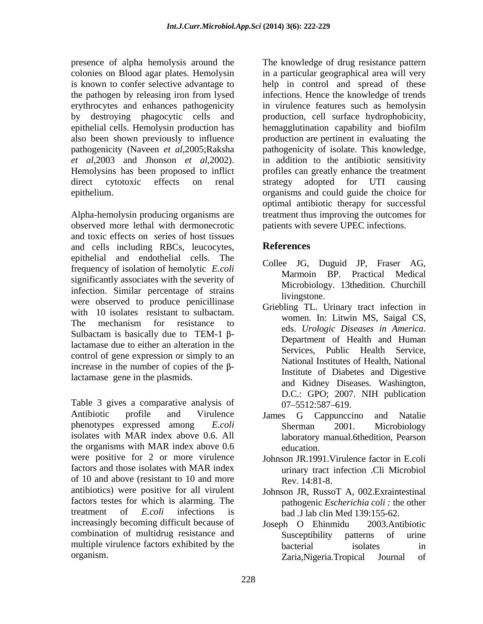epithelial cells. Hemolysin production has pathogenicity (Naveen *et al*,2005;Raksha *et al*,2003 and Jhonson *et al*,2002).

observed more lethal with dermonecrotic and toxic effects on series of host tissues and cells including RBCs, leucocytes, **References** epithelial and endothelial cells. The frequency of isolation of hemolytic *E.coli*<br>Marmoin BP. Practical Medical significantly associates with the severity of infection. Similar percentage of strains and the strains intervolutional strains in the strains of the strains of the strains of the strains of the strains of the strains of the strains of the strains of the strains of the were observed to produce penicillinase with 10 isolates resistant to sulbactam. The mechanism for resistance to  $\frac{1}{2}$  and  $\frac{1}{2}$  Diseases in America. Sulbactam is basically due to TEM-1  $\beta$ lactamase due to either an alteration in the Services. Public Health Service. control of gene expression or simply to an increase in the number of copies of the  $\beta$ lactamase gene in the plasmids.

Table 3 gives a comparative analysis of  $07-5512:587-619$ . Antibiotic profile and Virulence James G Cappunccino and Natalie phenotypes expressed among *E.coli* Sherman 2001. Microbiology<br>isolates with MAR index above 0.6. All laboratory manual.6thedition. Pearson the organisms with MAR index above 0.6 were positive for 2 or more virulence Johnson JR.1991.Virulence factor in E.coli factors and those isolates with MAR index of 10 and above (resistant to 10 and more  $\qquad \qquad$  Rev. 14:81-8. antibiotics) were positive for all virulent factors testes for which is alarming. The treatment of *E.coli* infections is bad *.*J lab clin Med 139:155-62. increasingly becoming difficult because of  $Joseph$  O Ehinmidu 2003. Antibiotic combination of multidrug resistance and <br>Susceptibility patterns of urine multiple virulence factors exhibited by the bacterial isolates in

presence of alpha hemolysis around the The knowledge of drug resistance pattern colonies on Blood agar plates. Hemolysin in a particular geographical area will very is known to confer selective advantage to help in control and spread of these the pathogen by releasing iron from lysed infections. Hence the knowledge of trends erythrocytes and enhances pathogenicity in virulence features such as hemolysin by destroying phagocytic cells and production, cell surface hydrophobicity, also been shown previously to influence production are pertinent in evaluating the Hemolysins has been proposed to inflict profiles can greatly enhance the treatment direct cytotoxic effects on renal strategy adopted for UTI causing epithelium.<br>
Alpha-hemolysin producing organisms are<br>
Alpha-hemolysin producing organisms are<br>
Alpha-hemolysin producing organisms are<br>
treatment thus improving the outcomes for hemagglutination capability and biofilm pathogenicity of isolate. This knowledge, in addition to the antibiotic sensitivity strategy adopted for UTI causing organisms and could guide the choice for optimal antibiotic therapy for successful treatment thus improving the outcomes for patients with severe UPEC infections.

# **References**

- Collee JG, Duguid JP, Fraser AG, Marmoin BP. Practical Medical Microbiology. 13thedition. Churchill livingstone.
- Griebling TL. Urinary tract infection in women. In: Litwin MS, Saigal CS, eds. *Urologic Diseases in America.* Department of Health and Human Services, Public Health Service, National Institutes of Health, National Institute of Diabetes and Digestive and Kidney Diseases. Washington, D.C.: GPO; 2007. NIH publication 07 5512:587 619.
- James G Cappunccino and Natalie Sherman 2001. Microbiology laboratory manual.6thedition, Pearson education.
- urinary tract infection .Cli Microbiol Rev. 14:81-8.
- Johnson JR, RussoT A, 002.Exraintestinal pathogenic *Escherichia coli :* the other
- organism. Zaria,Nigeria.Tropical Journal ofJoseph O Ehinmidu 2003.Antibiotic Susceptibility patterns of urine bacterial isolates in